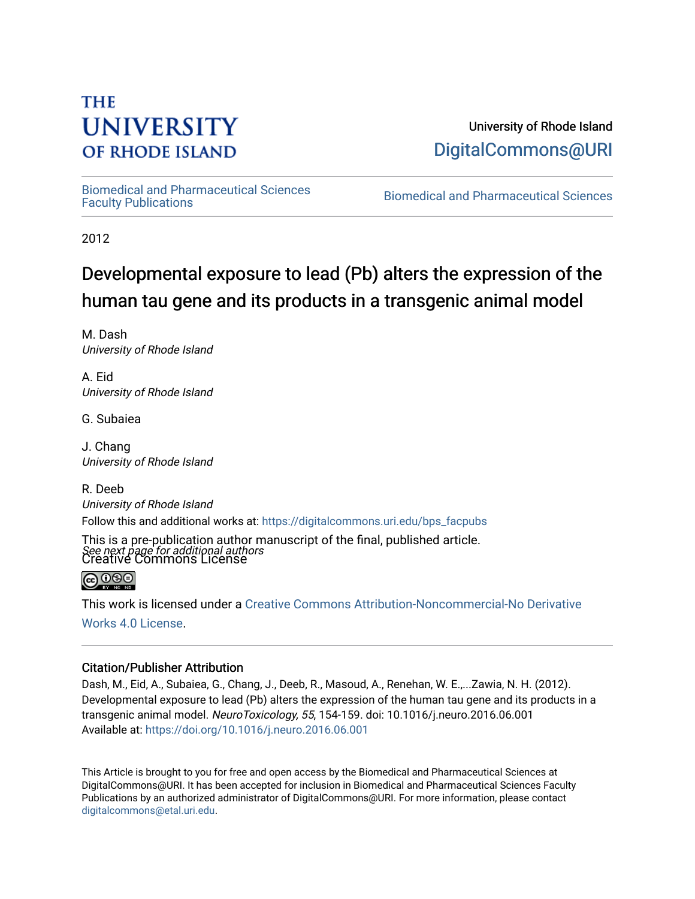# **THE UNIVERSITY OF RHODE ISLAND**

University of Rhode Island [DigitalCommons@URI](https://digitalcommons.uri.edu/) 

[Biomedical and Pharmaceutical Sciences](https://digitalcommons.uri.edu/bps_facpubs) 

Biomedical and Pharmaceutical Sciences

2012

# Developmental exposure to lead (Pb) alters the expression of the human tau gene and its products in a transgenic animal model

M. Dash University of Rhode Island

A. Eid University of Rhode Island

G. Subaiea

J. Chang University of Rhode Island

R. Deeb University of Rhode Island Follow this and additional works at: [https://digitalcommons.uri.edu/bps\\_facpubs](https://digitalcommons.uri.edu/bps_facpubs?utm_source=digitalcommons.uri.edu%2Fbps_facpubs%2F126&utm_medium=PDF&utm_campaign=PDFCoverPages)

See next page for additional authors This is a pre-publication author manuscript of the final, published article. Creative Commons License



This work is licensed under a [Creative Commons Attribution-Noncommercial-No Derivative](https://creativecommons.org/licenses/by-nc-nd/4.0/)  [Works 4.0 License](https://creativecommons.org/licenses/by-nc-nd/4.0/).

# Citation/Publisher Attribution

Dash, M., Eid, A., Subaiea, G., Chang, J., Deeb, R., Masoud, A., Renehan, W. E.,...Zawia, N. H. (2012). Developmental exposure to lead (Pb) alters the expression of the human tau gene and its products in a transgenic animal model. NeuroToxicology, 55, 154-159. doi: 10.1016/j.neuro.2016.06.001 Available at:<https://doi.org/10.1016/j.neuro.2016.06.001>

This Article is brought to you for free and open access by the Biomedical and Pharmaceutical Sciences at DigitalCommons@URI. It has been accepted for inclusion in Biomedical and Pharmaceutical Sciences Faculty Publications by an authorized administrator of DigitalCommons@URI. For more information, please contact [digitalcommons@etal.uri.edu](mailto:digitalcommons@etal.uri.edu).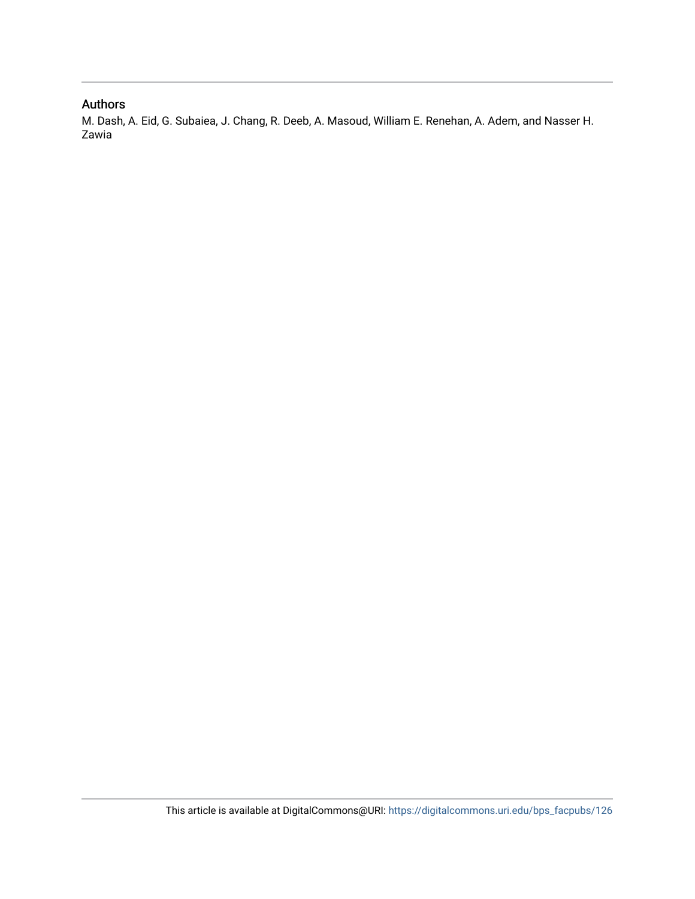# Authors

M. Dash, A. Eid, G. Subaiea, J. Chang, R. Deeb, A. Masoud, William E. Renehan, A. Adem, and Nasser H. Zawia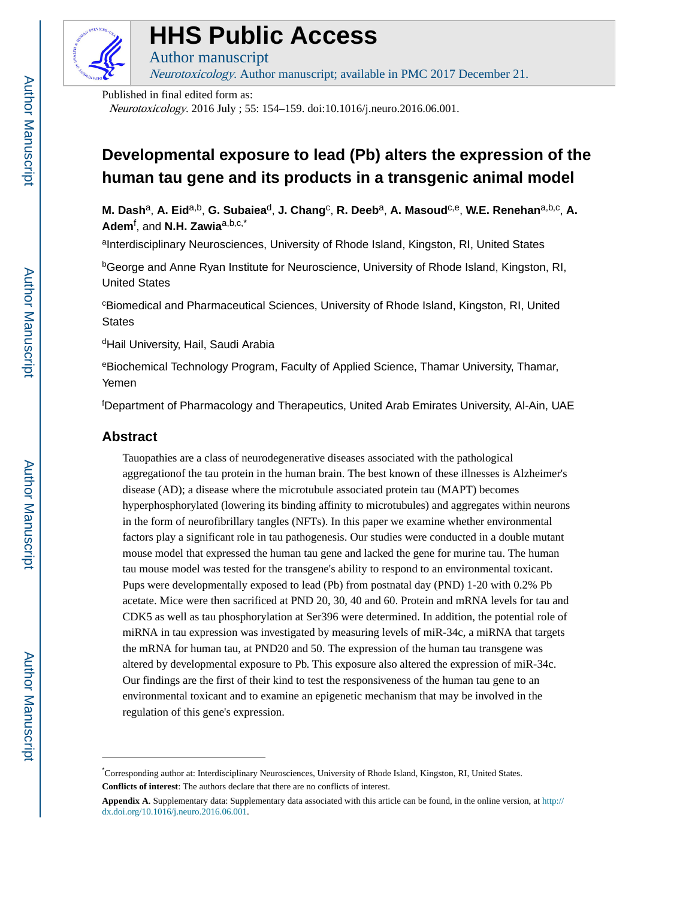

# **HHS Public Access**

Neurotoxicology. Author manuscript; available in PMC 2017 December 21.

Published in final edited form as:

Author manuscript

Neurotoxicology. 2016 July ; 55: 154–159. doi:10.1016/j.neuro.2016.06.001.

# **Developmental exposure to lead (Pb) alters the expression of the human tau gene and its products in a transgenic animal model**

M. Dash<sup>a</sup>, A. Eid<sup>a,b</sup>, G. Subaiea<sup>d</sup>, J. Chang<sup>c</sup>, R. Deeb<sup>a</sup>, A. Masoud<sup>c,e</sup>, W.E. Renehan<sup>a,b,c</sup>, A. **Adem**<sup>f</sup> , and **N.H. Zawia**a,b,c,\*

aInterdisciplinary Neurosciences, University of Rhode Island, Kingston, RI, United States

<sup>b</sup>George and Anne Ryan Institute for Neuroscience, University of Rhode Island, Kingston, RI, United States

<sup>c</sup>Biomedical and Pharmaceutical Sciences, University of Rhode Island, Kingston, RI, United **States** 

<sup>d</sup>Hail University, Hail, Saudi Arabia

<sup>e</sup>Biochemical Technology Program, Faculty of Applied Science, Thamar University, Thamar, Yemen

<sup>f</sup>Department of Pharmacology and Therapeutics, United Arab Emirates University, Al-Ain, UAE

# **Abstract**

Tauopathies are a class of neurodegenerative diseases associated with the pathological aggregationof the tau protein in the human brain. The best known of these illnesses is Alzheimer's disease (AD); a disease where the microtubule associated protein tau (MAPT) becomes hyperphosphorylated (lowering its binding affinity to microtubules) and aggregates within neurons in the form of neurofibrillary tangles (NFTs). In this paper we examine whether environmental factors play a significant role in tau pathogenesis. Our studies were conducted in a double mutant mouse model that expressed the human tau gene and lacked the gene for murine tau. The human tau mouse model was tested for the transgene's ability to respond to an environmental toxicant. Pups were developmentally exposed to lead (Pb) from postnatal day (PND) 1-20 with 0.2% Pb acetate. Mice were then sacrificed at PND 20, 30, 40 and 60. Protein and mRNA levels for tau and CDK5 as well as tau phosphorylation at Ser396 were determined. In addition, the potential role of miRNA in tau expression was investigated by measuring levels of miR-34c, a miRNA that targets the mRNA for human tau, at PND20 and 50. The expression of the human tau transgene was altered by developmental exposure to Pb. This exposure also altered the expression of miR-34c. Our findings are the first of their kind to test the responsiveness of the human tau gene to an environmental toxicant and to examine an epigenetic mechanism that may be involved in the regulation of this gene's expression.

<sup>\*</sup>Corresponding author at: Interdisciplinary Neurosciences, University of Rhode Island, Kingston, RI, United States. **Conflicts of interest**: The authors declare that there are no conflicts of interest.

**Appendix A**. Supplementary data: Supplementary data associated with this article can be found, in the online version, at [http://](http://dx.doi.org/10.1016/j.neuro.2016.06.001) [dx.doi.org/10.1016/j.neuro.2016.06.001.](http://dx.doi.org/10.1016/j.neuro.2016.06.001)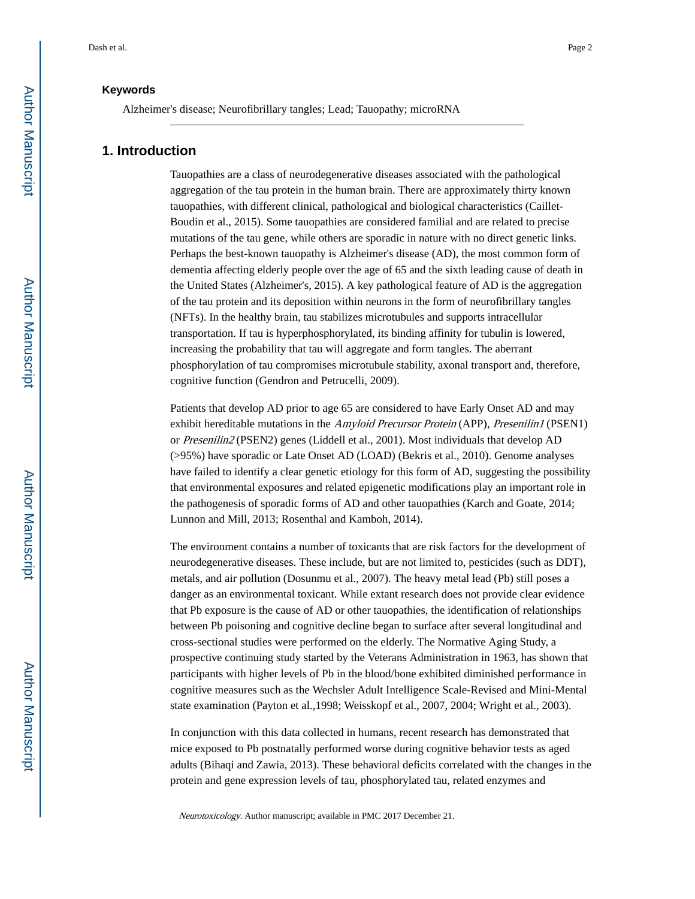#### **Keywords**

Alzheimer's disease; Neurofibrillary tangles; Lead; Tauopathy; microRNA

# **1. Introduction**

Tauopathies are a class of neurodegenerative diseases associated with the pathological aggregation of the tau protein in the human brain. There are approximately thirty known tauopathies, with different clinical, pathological and biological characteristics (Caillet-Boudin et al., 2015). Some tauopathies are considered familial and are related to precise mutations of the tau gene, while others are sporadic in nature with no direct genetic links. Perhaps the best-known tauopathy is Alzheimer's disease (AD), the most common form of dementia affecting elderly people over the age of 65 and the sixth leading cause of death in the United States (Alzheimer's, 2015). A key pathological feature of AD is the aggregation of the tau protein and its deposition within neurons in the form of neurofibrillary tangles (NFTs). In the healthy brain, tau stabilizes microtubules and supports intracellular transportation. If tau is hyperphosphorylated, its binding affinity for tubulin is lowered, increasing the probability that tau will aggregate and form tangles. The aberrant phosphorylation of tau compromises microtubule stability, axonal transport and, therefore, cognitive function (Gendron and Petrucelli, 2009).

Patients that develop AD prior to age 65 are considered to have Early Onset AD and may exhibit hereditable mutations in the Amyloid Precursor Protein (APP), Presenilin1 (PSEN1) or Presenilin2 (PSEN2) genes (Liddell et al., 2001). Most individuals that develop AD (>95%) have sporadic or Late Onset AD (LOAD) (Bekris et al., 2010). Genome analyses have failed to identify a clear genetic etiology for this form of AD, suggesting the possibility that environmental exposures and related epigenetic modifications play an important role in the pathogenesis of sporadic forms of AD and other tauopathies (Karch and Goate, 2014; Lunnon and Mill, 2013; Rosenthal and Kamboh, 2014).

The environment contains a number of toxicants that are risk factors for the development of neurodegenerative diseases. These include, but are not limited to, pesticides (such as DDT), metals, and air pollution (Dosunmu et al., 2007). The heavy metal lead (Pb) still poses a danger as an environmental toxicant. While extant research does not provide clear evidence that Pb exposure is the cause of AD or other tauopathies, the identification of relationships between Pb poisoning and cognitive decline began to surface after several longitudinal and cross-sectional studies were performed on the elderly. The Normative Aging Study, a prospective continuing study started by the Veterans Administration in 1963, has shown that participants with higher levels of Pb in the blood/bone exhibited diminished performance in cognitive measures such as the Wechsler Adult Intelligence Scale-Revised and Mini-Mental state examination (Payton et al.,1998; Weisskopf et al., 2007, 2004; Wright et al., 2003).

In conjunction with this data collected in humans, recent research has demonstrated that mice exposed to Pb postnatally performed worse during cognitive behavior tests as aged adults (Bihaqi and Zawia, 2013). These behavioral deficits correlated with the changes in the protein and gene expression levels of tau, phosphorylated tau, related enzymes and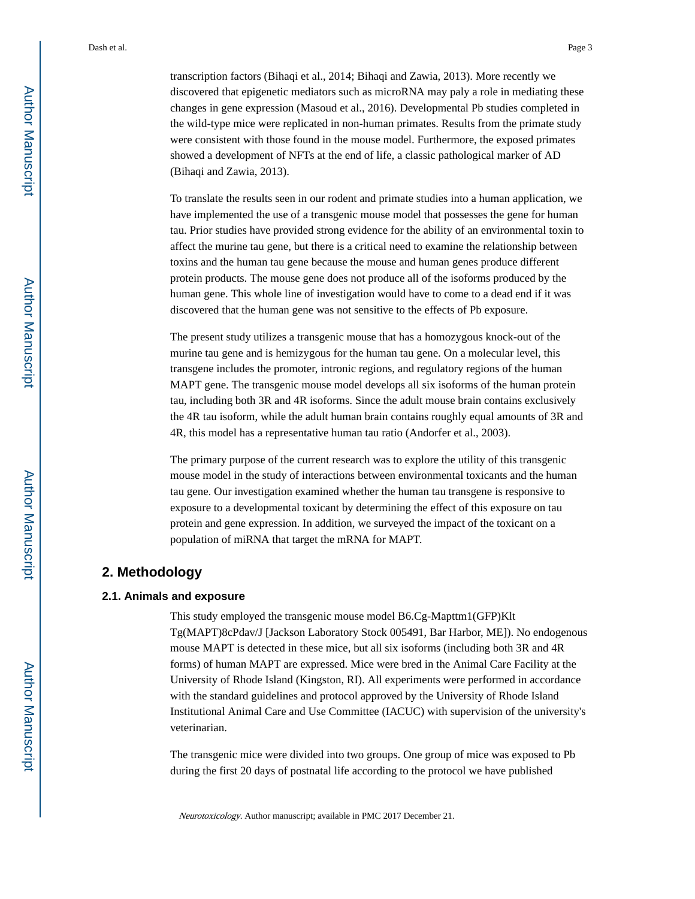transcription factors (Bihaqi et al., 2014; Bihaqi and Zawia, 2013). More recently we discovered that epigenetic mediators such as microRNA may paly a role in mediating these changes in gene expression (Masoud et al., 2016). Developmental Pb studies completed in the wild-type mice were replicated in non-human primates. Results from the primate study were consistent with those found in the mouse model. Furthermore, the exposed primates showed a development of NFTs at the end of life, a classic pathological marker of AD (Bihaqi and Zawia, 2013).

To translate the results seen in our rodent and primate studies into a human application, we have implemented the use of a transgenic mouse model that possesses the gene for human tau. Prior studies have provided strong evidence for the ability of an environmental toxin to affect the murine tau gene, but there is a critical need to examine the relationship between toxins and the human tau gene because the mouse and human genes produce different protein products. The mouse gene does not produce all of the isoforms produced by the human gene. This whole line of investigation would have to come to a dead end if it was discovered that the human gene was not sensitive to the effects of Pb exposure.

The present study utilizes a transgenic mouse that has a homozygous knock-out of the murine tau gene and is hemizygous for the human tau gene. On a molecular level, this transgene includes the promoter, intronic regions, and regulatory regions of the human MAPT gene. The transgenic mouse model develops all six isoforms of the human protein tau, including both 3R and 4R isoforms. Since the adult mouse brain contains exclusively the 4R tau isoform, while the adult human brain contains roughly equal amounts of 3R and 4R, this model has a representative human tau ratio (Andorfer et al., 2003).

The primary purpose of the current research was to explore the utility of this transgenic mouse model in the study of interactions between environmental toxicants and the human tau gene. Our investigation examined whether the human tau transgene is responsive to exposure to a developmental toxicant by determining the effect of this exposure on tau protein and gene expression. In addition, we surveyed the impact of the toxicant on a population of miRNA that target the mRNA for MAPT.

#### **2. Methodology**

#### **2.1. Animals and exposure**

This study employed the transgenic mouse model B6.Cg-Mapttm1(GFP)Klt Tg(MAPT)8cPdav/J [Jackson Laboratory Stock 005491, Bar Harbor, ME]). No endogenous mouse MAPT is detected in these mice, but all six isoforms (including both 3R and 4R forms) of human MAPT are expressed. Mice were bred in the Animal Care Facility at the University of Rhode Island (Kingston, RI). All experiments were performed in accordance with the standard guidelines and protocol approved by the University of Rhode Island Institutional Animal Care and Use Committee (IACUC) with supervision of the university's veterinarian.

The transgenic mice were divided into two groups. One group of mice was exposed to Pb during the first 20 days of postnatal life according to the protocol we have published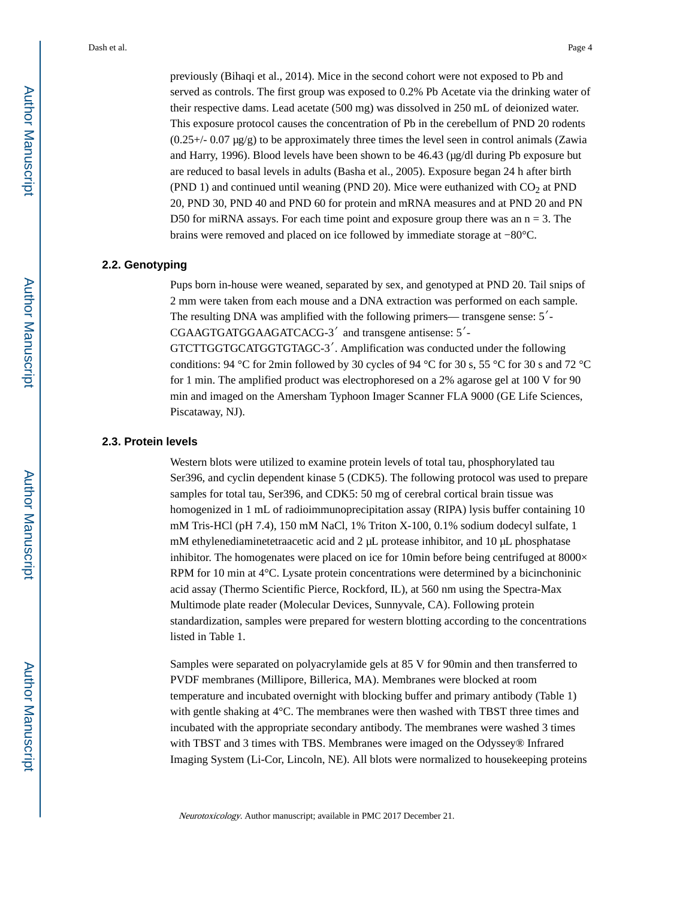previously (Bihaqi et al., 2014). Mice in the second cohort were not exposed to Pb and served as controls. The first group was exposed to 0.2% Pb Acetate via the drinking water of their respective dams. Lead acetate (500 mg) was dissolved in 250 mL of deionized water. This exposure protocol causes the concentration of Pb in the cerebellum of PND 20 rodents  $(0.25+\div 0.07 \mu g/g)$  to be approximately three times the level seen in control animals (Zawia and Harry, 1996). Blood levels have been shown to be 46.43 (μg/dl during Pb exposure but are reduced to basal levels in adults (Basha et al., 2005). Exposure began 24 h after birth (PND 1) and continued until weaning (PND 20). Mice were euthanized with  $CO<sub>2</sub>$  at PND 20, PND 30, PND 40 and PND 60 for protein and mRNA measures and at PND 20 and PN D50 for miRNA assays. For each time point and exposure group there was an  $n = 3$ . The brains were removed and placed on ice followed by immediate storage at −80°C.

#### **2.2. Genotyping**

Pups born in-house were weaned, separated by sex, and genotyped at PND 20. Tail snips of 2 mm were taken from each mouse and a DNA extraction was performed on each sample. The resulting DNA was amplified with the following primers— transgene sense: 5<sup>'</sup>-CGAAGTGATGGAAGATCACG-3′ and transgene antisense: 5′- GTCTTGGTGCATGGTGTAGC-3′. Amplification was conducted under the following

conditions: 94 °C for 2min followed by 30 cycles of 94 °C for 30 s, 55 °C for 30 s and 72 °C for 1 min. The amplified product was electrophoresed on a 2% agarose gel at 100 V for 90 min and imaged on the Amersham Typhoon Imager Scanner FLA 9000 (GE Life Sciences, Piscataway, NJ).

#### **2.3. Protein levels**

Western blots were utilized to examine protein levels of total tau, phosphorylated tau Ser396, and cyclin dependent kinase 5 (CDK5). The following protocol was used to prepare samples for total tau, Ser396, and CDK5: 50 mg of cerebral cortical brain tissue was homogenized in 1 mL of radioimmunoprecipitation assay (RIPA) lysis buffer containing 10 mM Tris-HCl (pH 7.4), 150 mM NaCl, 1% Triton X-100, 0.1% sodium dodecyl sulfate, 1 mM ethylenediaminetetraacetic acid and 2 μL protease inhibitor, and 10 μL phosphatase inhibitor. The homogenates were placed on ice for 10min before being centrifuged at  $8000\times$ RPM for 10 min at 4°C. Lysate protein concentrations were determined by a bicinchoninic acid assay (Thermo Scientific Pierce, Rockford, IL), at 560 nm using the Spectra-Max Multimode plate reader (Molecular Devices, Sunnyvale, CA). Following protein standardization, samples were prepared for western blotting according to the concentrations listed in Table 1.

Samples were separated on polyacrylamide gels at 85 V for 90min and then transferred to PVDF membranes (Millipore, Billerica, MA). Membranes were blocked at room temperature and incubated overnight with blocking buffer and primary antibody (Table 1) with gentle shaking at 4°C. The membranes were then washed with TBST three times and incubated with the appropriate secondary antibody. The membranes were washed 3 times with TBST and 3 times with TBS. Membranes were imaged on the Odyssey® Infrared Imaging System (Li-Cor, Lincoln, NE). All blots were normalized to housekeeping proteins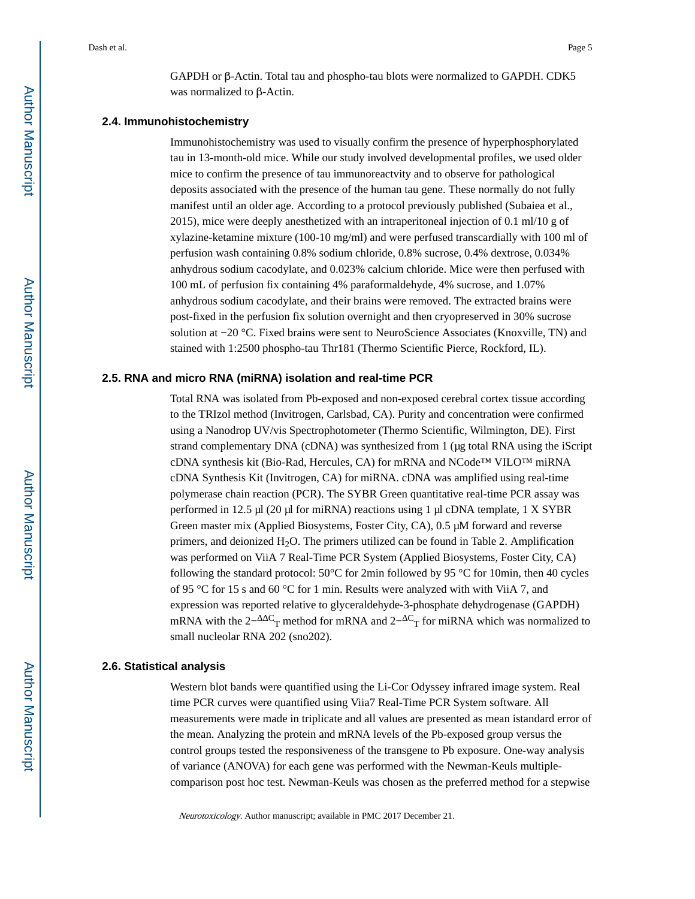GAPDH or β-Actin. Total tau and phospho-tau blots were normalized to GAPDH. CDK5 was normalized to β-Actin.

#### **2.4. Immunohistochemistry**

Immunohistochemistry was used to visually confirm the presence of hyperphosphorylated tau in 13-month-old mice. While our study involved developmental profiles, we used older mice to confirm the presence of tau immunoreactvity and to observe for pathological deposits associated with the presence of the human tau gene. These normally do not fully manifest until an older age. According to a protocol previously published (Subaiea et al., 2015), mice were deeply anesthetized with an intraperitoneal injection of 0.1 ml/10 g of xylazine-ketamine mixture (100-10 mg/ml) and were perfused transcardially with 100 ml of perfusion wash containing 0.8% sodium chloride, 0.8% sucrose, 0.4% dextrose, 0.034% anhydrous sodium cacodylate, and 0.023% calcium chloride. Mice were then perfused with 100 mL of perfusion fix containing 4% paraformaldehyde, 4% sucrose, and 1.07% anhydrous sodium cacodylate, and their brains were removed. The extracted brains were post-fixed in the perfusion fix solution overnight and then cryopreserved in 30% sucrose solution at −20 °C. Fixed brains were sent to NeuroScience Associates (Knoxville, TN) and stained with 1:2500 phospho-tau Thr181 (Thermo Scientific Pierce, Rockford, IL).

#### **2.5. RNA and micro RNA (miRNA) isolation and real-time PCR**

Total RNA was isolated from Pb-exposed and non-exposed cerebral cortex tissue according to the TRIzol method (Invitrogen, Carlsbad, CA). Purity and concentration were confirmed using a Nanodrop UV/vis Spectrophotometer (Thermo Scientific, Wilmington, DE). First strand complementary DNA (cDNA) was synthesized from 1 (μg total RNA using the iScript cDNA synthesis kit (Bio-Rad, Hercules, CA) for mRNA and NCode™ VILO™ miRNA cDNA Synthesis Kit (Invitrogen, CA) for miRNA. cDNA was amplified using real-time polymerase chain reaction (PCR). The SYBR Green quantitative real-time PCR assay was performed in 12.5 μl (20 μl for miRNA) reactions using 1 μl cDNA template, 1 X SYBR Green master mix (Applied Biosystems, Foster City, CA), 0.5 μM forward and reverse primers, and deionized  $H_2O$ . The primers utilized can be found in Table 2. Amplification was performed on ViiA 7 Real-Time PCR System (Applied Biosystems, Foster City, CA) following the standard protocol: 50°C for 2min followed by 95 °C for 10min, then 40 cycles of 95 °C for 15 s and 60 °C for 1 min. Results were analyzed with with ViiA 7, and expression was reported relative to glyceraldehyde-3-phosphate dehydrogenase (GAPDH) mRNA with the 2- $C_T$  method for mRNA and 2- $C_T$  for miRNA which was normalized to small nucleolar RNA 202 (sno202).

#### **2.6. Statistical analysis**

Western blot bands were quantified using the Li-Cor Odyssey infrared image system. Real time PCR curves were quantified using Viia7 Real-Time PCR System software. All measurements were made in triplicate and all values are presented as mean istandard error of the mean. Analyzing the protein and mRNA levels of the Pb-exposed group versus the control groups tested the responsiveness of the transgene to Pb exposure. One-way analysis of variance (ANOVA) for each gene was performed with the Newman-Keuls multiplecomparison post hoc test. Newman-Keuls was chosen as the preferred method for a stepwise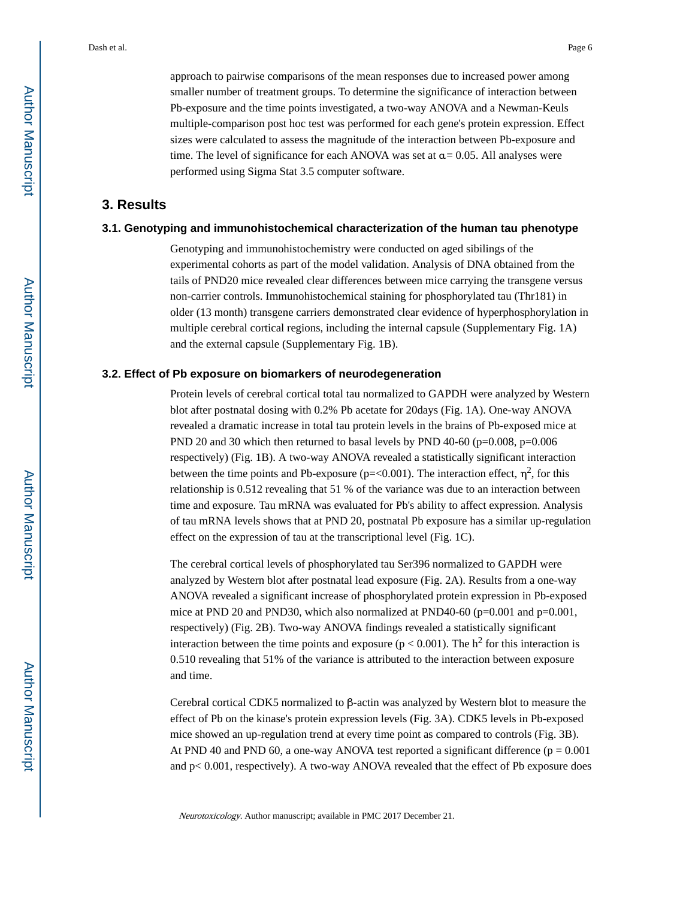approach to pairwise comparisons of the mean responses due to increased power among smaller number of treatment groups. To determine the significance of interaction between Pb-exposure and the time points investigated, a two-way ANOVA and a Newman-Keuls multiple-comparison post hoc test was performed for each gene's protein expression. Effect sizes were calculated to assess the magnitude of the interaction between Pb-exposure and time. The level of significance for each ANOVA was set at  $\alpha$  = 0.05. All analyses were performed using Sigma Stat 3.5 computer software.

#### **3. Results**

#### **3.1. Genotyping and immunohistochemical characterization of the human tau phenotype**

Genotyping and immunohistochemistry were conducted on aged sibilings of the experimental cohorts as part of the model validation. Analysis of DNA obtained from the tails of PND20 mice revealed clear differences between mice carrying the transgene versus non-carrier controls. Immunohistochemical staining for phosphorylated tau (Thr181) in older (13 month) transgene carriers demonstrated clear evidence of hyperphosphorylation in multiple cerebral cortical regions, including the internal capsule (Supplementary Fig. 1A) and the external capsule (Supplementary Fig. 1B).

#### **3.2. Effect of Pb exposure on biomarkers of neurodegeneration**

Protein levels of cerebral cortical total tau normalized to GAPDH were analyzed by Western blot after postnatal dosing with 0.2% Pb acetate for 20days (Fig. 1A). One-way ANOVA revealed a dramatic increase in total tau protein levels in the brains of Pb-exposed mice at PND 20 and 30 which then returned to basal levels by PND 40-60 (p=0.008, p=0.006 respectively) (Fig. 1B). A two-way ANOVA revealed a statistically significant interaction between the time points and Pb-exposure ( $p = < 0.001$ ). The interaction effect,  $\eta^2$ , for this relationship is 0.512 revealing that 51 % of the variance was due to an interaction between time and exposure. Tau mRNA was evaluated for Pb's ability to affect expression. Analysis of tau mRNA levels shows that at PND 20, postnatal Pb exposure has a similar up-regulation effect on the expression of tau at the transcriptional level (Fig. 1C).

The cerebral cortical levels of phosphorylated tau Ser396 normalized to GAPDH were analyzed by Western blot after postnatal lead exposure (Fig. 2A). Results from a one-way ANOVA revealed a significant increase of phosphorylated protein expression in Pb-exposed mice at PND 20 and PND30, which also normalized at PND40-60 (p=0.001 and p=0.001, respectively) (Fig. 2B). Two-way ANOVA findings revealed a statistically significant interaction between the time points and exposure ( $p < 0.001$ ). The  $h^2$  for this interaction is 0.510 revealing that 51% of the variance is attributed to the interaction between exposure and time.

Cerebral cortical CDK5 normalized to β-actin was analyzed by Western blot to measure the effect of Pb on the kinase's protein expression levels (Fig. 3A). CDK5 levels in Pb-exposed mice showed an up-regulation trend at every time point as compared to controls (Fig. 3B). At PND 40 and PND 60, a one-way ANOVA test reported a significant difference ( $p = 0.001$ ) and p< 0.001, respectively). A two-way ANOVA revealed that the effect of Pb exposure does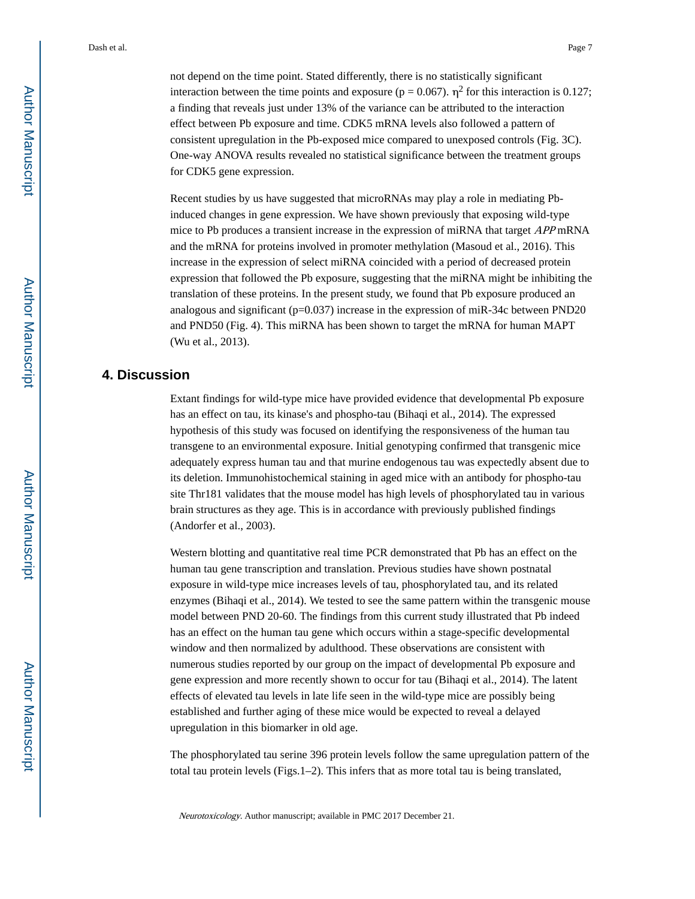not depend on the time point. Stated differently, there is no statistically significant interaction between the time points and exposure ( $p = 0.067$ ).  $\eta^2$  for this interaction is 0.127; a finding that reveals just under 13% of the variance can be attributed to the interaction effect between Pb exposure and time. CDK5 mRNA levels also followed a pattern of consistent upregulation in the Pb-exposed mice compared to unexposed controls (Fig. 3C). One-way ANOVA results revealed no statistical significance between the treatment groups for CDK5 gene expression.

Recent studies by us have suggested that microRNAs may play a role in mediating Pbinduced changes in gene expression. We have shown previously that exposing wild-type mice to Pb produces a transient increase in the expression of miRNA that target APP mRNA and the mRNA for proteins involved in promoter methylation (Masoud et al., 2016). This increase in the expression of select miRNA coincided with a period of decreased protein expression that followed the Pb exposure, suggesting that the miRNA might be inhibiting the translation of these proteins. In the present study, we found that Pb exposure produced an analogous and significant ( $p=0.037$ ) increase in the expression of miR-34c between PND20 and PND50 (Fig. 4). This miRNA has been shown to target the mRNA for human MAPT (Wu et al., 2013).

# **4. Discussion**

Extant findings for wild-type mice have provided evidence that developmental Pb exposure has an effect on tau, its kinase's and phospho-tau (Bihaqi et al., 2014). The expressed hypothesis of this study was focused on identifying the responsiveness of the human tau transgene to an environmental exposure. Initial genotyping confirmed that transgenic mice adequately express human tau and that murine endogenous tau was expectedly absent due to its deletion. Immunohistochemical staining in aged mice with an antibody for phospho-tau site Thr181 validates that the mouse model has high levels of phosphorylated tau in various brain structures as they age. This is in accordance with previously published findings (Andorfer et al., 2003).

Western blotting and quantitative real time PCR demonstrated that Pb has an effect on the human tau gene transcription and translation. Previous studies have shown postnatal exposure in wild-type mice increases levels of tau, phosphorylated tau, and its related enzymes (Bihaqi et al., 2014). We tested to see the same pattern within the transgenic mouse model between PND 20-60. The findings from this current study illustrated that Pb indeed has an effect on the human tau gene which occurs within a stage-specific developmental window and then normalized by adulthood. These observations are consistent with numerous studies reported by our group on the impact of developmental Pb exposure and gene expression and more recently shown to occur for tau (Bihaqi et al., 2014). The latent effects of elevated tau levels in late life seen in the wild-type mice are possibly being established and further aging of these mice would be expected to reveal a delayed upregulation in this biomarker in old age.

The phosphorylated tau serine 396 protein levels follow the same upregulation pattern of the total tau protein levels (Figs.1–2). This infers that as more total tau is being translated,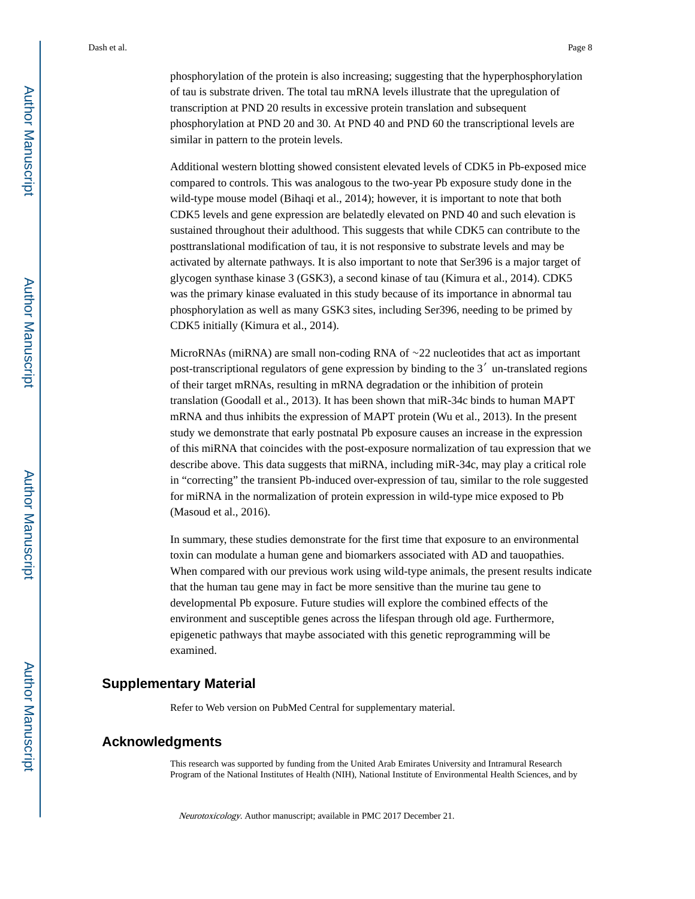phosphorylation of the protein is also increasing; suggesting that the hyperphosphorylation of tau is substrate driven. The total tau mRNA levels illustrate that the upregulation of transcription at PND 20 results in excessive protein translation and subsequent phosphorylation at PND 20 and 30. At PND 40 and PND 60 the transcriptional levels are similar in pattern to the protein levels.

Additional western blotting showed consistent elevated levels of CDK5 in Pb-exposed mice compared to controls. This was analogous to the two-year Pb exposure study done in the wild-type mouse model (Bihaqi et al., 2014); however, it is important to note that both CDK5 levels and gene expression are belatedly elevated on PND 40 and such elevation is sustained throughout their adulthood. This suggests that while CDK5 can contribute to the posttranslational modification of tau, it is not responsive to substrate levels and may be activated by alternate pathways. It is also important to note that Ser396 is a major target of glycogen synthase kinase 3 (GSK3), a second kinase of tau (Kimura et al., 2014). CDK5 was the primary kinase evaluated in this study because of its importance in abnormal tau phosphorylation as well as many GSK3 sites, including Ser396, needing to be primed by CDK5 initially (Kimura et al., 2014).

MicroRNAs (miRNA) are small non-coding RNA of ∼22 nucleotides that act as important post-transcriptional regulators of gene expression by binding to the 3′ un-translated regions of their target mRNAs, resulting in mRNA degradation or the inhibition of protein translation (Goodall et al., 2013). It has been shown that miR-34c binds to human MAPT mRNA and thus inhibits the expression of MAPT protein (Wu et al., 2013). In the present study we demonstrate that early postnatal Pb exposure causes an increase in the expression of this miRNA that coincides with the post-exposure normalization of tau expression that we describe above. This data suggests that miRNA, including miR-34c, may play a critical role in "correcting" the transient Pb-induced over-expression of tau, similar to the role suggested for miRNA in the normalization of protein expression in wild-type mice exposed to Pb (Masoud et al., 2016).

In summary, these studies demonstrate for the first time that exposure to an environmental toxin can modulate a human gene and biomarkers associated with AD and tauopathies. When compared with our previous work using wild-type animals, the present results indicate that the human tau gene may in fact be more sensitive than the murine tau gene to developmental Pb exposure. Future studies will explore the combined effects of the environment and susceptible genes across the lifespan through old age. Furthermore, epigenetic pathways that maybe associated with this genetic reprogramming will be examined.

# **Supplementary Material**

Refer to Web version on PubMed Central for supplementary material.

#### **Acknowledgments**

This research was supported by funding from the United Arab Emirates University and Intramural Research Program of the National Institutes of Health (NIH), National Institute of Environmental Health Sciences, and by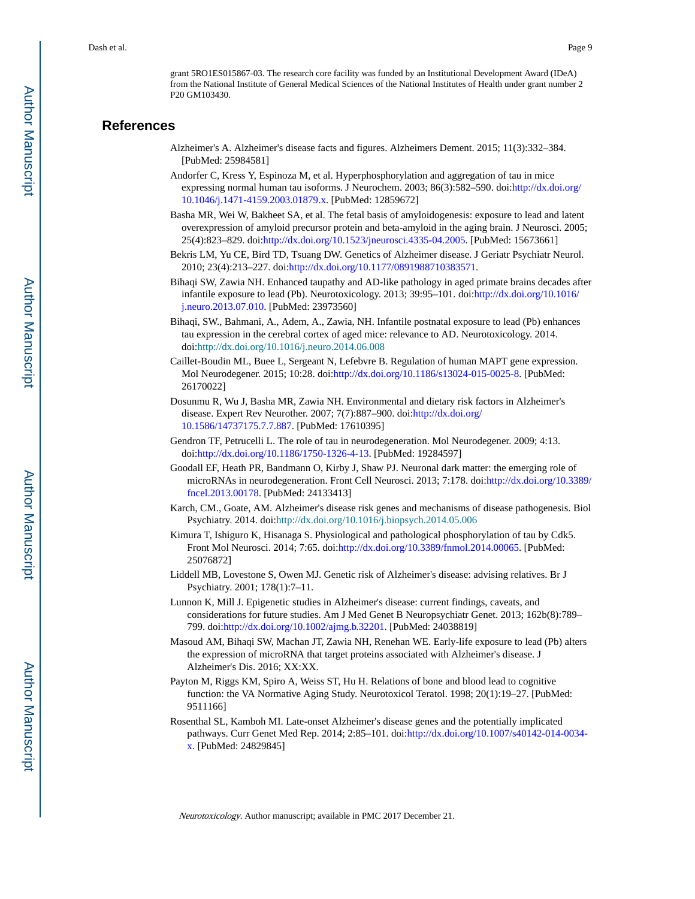grant 5RO1ES015867-03. The research core facility was funded by an Institutional Development Award (IDeA) from the National Institute of General Medical Sciences of the National Institutes of Health under grant number 2 P20 GM103430.

# **References**

- Alzheimer's A. Alzheimer's disease facts and figures. Alzheimers Dement. 2015; 11(3):332–384. [PubMed: 25984581]
- Andorfer C, Kress Y, Espinoza M, et al. Hyperphosphorylation and aggregation of tau in mice expressing normal human tau isoforms. J Neurochem. 2003; 86(3):582–590. doi[:http://dx.doi.org/](http://dx.doi.org/10.1046/j.1471-4159.2003.01879.x) [10.1046/j.1471-4159.2003.01879.x](http://dx.doi.org/10.1046/j.1471-4159.2003.01879.x). [PubMed: 12859672]
- Basha MR, Wei W, Bakheet SA, et al. The fetal basis of amyloidogenesis: exposure to lead and latent overexpression of amyloid precursor protein and beta-amyloid in the aging brain. J Neurosci. 2005; 25(4):823–829. doi[:http://dx.doi.org/10.1523/jneurosci.4335-04.2005](http://dx.doi.org/10.1523/jneurosci.4335-04.2005). [PubMed: 15673661]
- Bekris LM, Yu CE, Bird TD, Tsuang DW. Genetics of Alzheimer disease. J Geriatr Psychiatr Neurol. 2010; 23(4):213–227. doi:<http://dx.doi.org/10.1177/0891988710383571>.
- Bihaqi SW, Zawia NH. Enhanced taupathy and AD-like pathology in aged primate brains decades after infantile exposure to lead (Pb). Neurotoxicology. 2013; 39:95–101. doi:[http://dx.doi.org/10.1016/](http://dx.doi.org/10.1016/j.neuro.2013.07.010) [j.neuro.2013.07.010](http://dx.doi.org/10.1016/j.neuro.2013.07.010). [PubMed: 23973560]
- Bihaqi, SW., Bahmani, A., Adem, A., Zawia, NH. Infantile postnatal exposure to lead (Pb) enhances tau expression in the cerebral cortex of aged mice: relevance to AD. Neurotoxicology. 2014. doi[:http://dx.doi.org/10.1016/j.neuro.2014.06.008](http://dx.doi.org/10.1016/j.neuro.2014.06.008)
- Caillet-Boudin ML, Buee L, Sergeant N, Lefebvre B. Regulation of human MAPT gene expression. Mol Neurodegener. 2015; 10:28. doi:<http://dx.doi.org/10.1186/s13024-015-0025-8>. [PubMed: 26170022]
- Dosunmu R, Wu J, Basha MR, Zawia NH. Environmental and dietary risk factors in Alzheimer's disease. Expert Rev Neurother. 2007; 7(7):887–900. doi[:http://dx.doi.org/](http://dx.doi.org/10.1586/14737175.7.7.887) [10.1586/14737175.7.7.887](http://dx.doi.org/10.1586/14737175.7.7.887). [PubMed: 17610395]
- Gendron TF, Petrucelli L. The role of tau in neurodegeneration. Mol Neurodegener. 2009; 4:13. doi[:http://dx.doi.org/10.1186/1750-1326-4-13](http://dx.doi.org/10.1186/1750-1326-4-13). [PubMed: 19284597]
- Goodall EF, Heath PR, Bandmann O, Kirby J, Shaw PJ. Neuronal dark matter: the emerging role of microRNAs in neurodegeneration. Front Cell Neurosci. 2013; 7:178. doi:[http://dx.doi.org/10.3389/](http://dx.doi.org/10.3389/fncel.2013.00178) [fncel.2013.00178.](http://dx.doi.org/10.3389/fncel.2013.00178) [PubMed: 24133413]
- Karch, CM., Goate, AM. Alzheimer's disease risk genes and mechanisms of disease pathogenesis. Biol Psychiatry. 2014. doi[:http://dx.doi.org/10.1016/j.biopsych.2014.05.006](http://dx.doi.org/10.1016/j.biopsych.2014.05.006)
- Kimura T, Ishiguro K, Hisanaga S. Physiological and pathological phosphorylation of tau by Cdk5. Front Mol Neurosci. 2014; 7:65. doi[:http://dx.doi.org/10.3389/fnmol.2014.00065](http://dx.doi.org/10.3389/fnmol.2014.00065). [PubMed: 25076872]
- Liddell MB, Lovestone S, Owen MJ. Genetic risk of Alzheimer's disease: advising relatives. Br J Psychiatry. 2001; 178(1):7–11.
- Lunnon K, Mill J. Epigenetic studies in Alzheimer's disease: current findings, caveats, and considerations for future studies. Am J Med Genet B Neuropsychiatr Genet. 2013; 162b(8):789– 799. doi[:http://dx.doi.org/10.1002/ajmg.b.32201.](http://dx.doi.org/10.1002/ajmg.b.32201) [PubMed: 24038819]
- Masoud AM, Bihaqi SW, Machan JT, Zawia NH, Renehan WE. Early-life exposure to lead (Pb) alters the expression of microRNA that target proteins associated with Alzheimer's disease. J Alzheimer's Dis. 2016; XX:XX.
- Payton M, Riggs KM, Spiro A, Weiss ST, Hu H. Relations of bone and blood lead to cognitive function: the VA Normative Aging Study. Neurotoxicol Teratol. 1998; 20(1):19–27. [PubMed: 9511166]
- Rosenthal SL, Kamboh MI. Late-onset Alzheimer's disease genes and the potentially implicated pathways. Curr Genet Med Rep. 2014; 2:85–101. doi:[http://dx.doi.org/10.1007/s40142-014-0034](http://dx.doi.org/10.1007/s40142-014-0034-x) [x.](http://dx.doi.org/10.1007/s40142-014-0034-x) [PubMed: 24829845]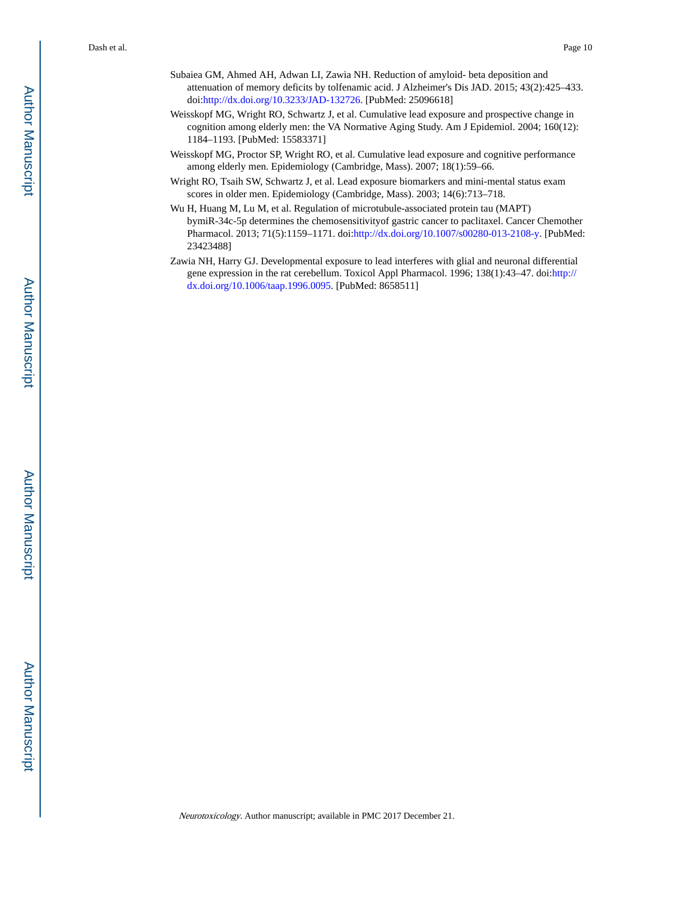- Subaiea GM, Ahmed AH, Adwan LI, Zawia NH. Reduction of amyloid- beta deposition and attenuation of memory deficits by tolfenamic acid. J Alzheimer's Dis JAD. 2015; 43(2):425–433. doi[:http://dx.doi.org/10.3233/JAD-132726.](http://dx.doi.org/10.3233/JAD-132726) [PubMed: 25096618]
- Weisskopf MG, Wright RO, Schwartz J, et al. Cumulative lead exposure and prospective change in cognition among elderly men: the VA Normative Aging Study. Am J Epidemiol. 2004; 160(12): 1184–1193. [PubMed: 15583371]
- Weisskopf MG, Proctor SP, Wright RO, et al. Cumulative lead exposure and cognitive performance among elderly men. Epidemiology (Cambridge, Mass). 2007; 18(1):59–66.
- Wright RO, Tsaih SW, Schwartz J, et al. Lead exposure biomarkers and mini-mental status exam scores in older men. Epidemiology (Cambridge, Mass). 2003; 14(6):713–718.
- Wu H, Huang M, Lu M, et al. Regulation of microtubule-associated protein tau (MAPT) bymiR-34c-5p determines the chemosensitivityof gastric cancer to paclitaxel. Cancer Chemother Pharmacol. 2013; 71(5):1159–1171. doi:<http://dx.doi.org/10.1007/s00280-013-2108-y>. [PubMed: 23423488]
- Zawia NH, Harry GJ. Developmental exposure to lead interferes with glial and neuronal differential gene expression in the rat cerebellum. Toxicol Appl Pharmacol. 1996; 138(1):43–47. doi:[http://](http://dx.doi.org/10.1006/taap.1996.0095) [dx.doi.org/10.1006/taap.1996.0095.](http://dx.doi.org/10.1006/taap.1996.0095) [PubMed: 8658511]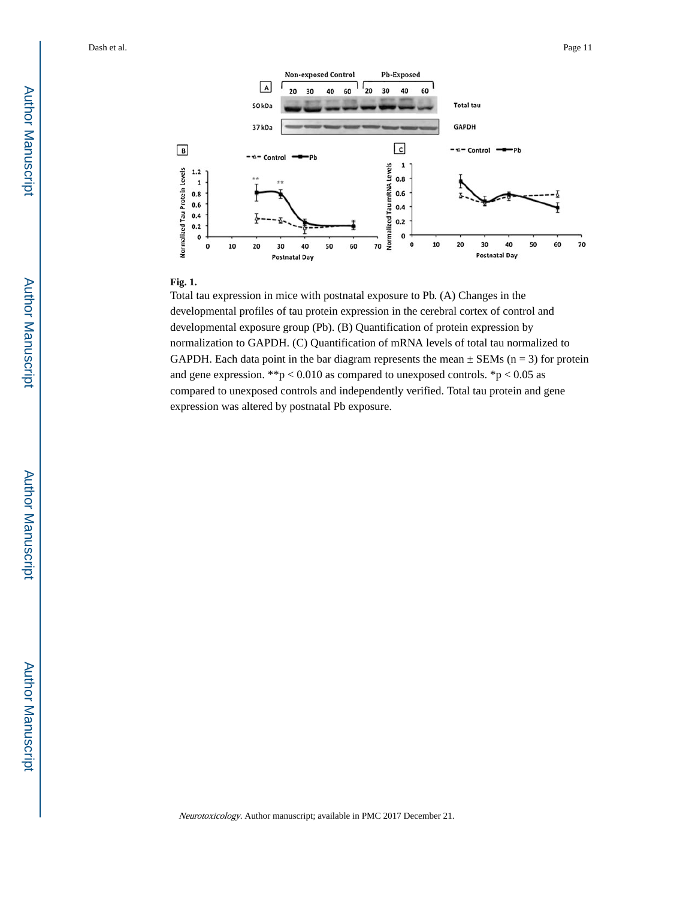

### **Fig. 1.**

Total tau expression in mice with postnatal exposure to Pb. (A) Changes in the developmental profiles of tau protein expression in the cerebral cortex of control and developmental exposure group (Pb). (B) Quantification of protein expression by normalization to GAPDH. (C) Quantification of mRNA levels of total tau normalized to GAPDH. Each data point in the bar diagram represents the mean  $\pm$  SEMs (n = 3) for protein and gene expression. \*\*p < 0.010 as compared to unexposed controls. \*p < 0.05 as compared to unexposed controls and independently verified. Total tau protein and gene expression was altered by postnatal Pb exposure.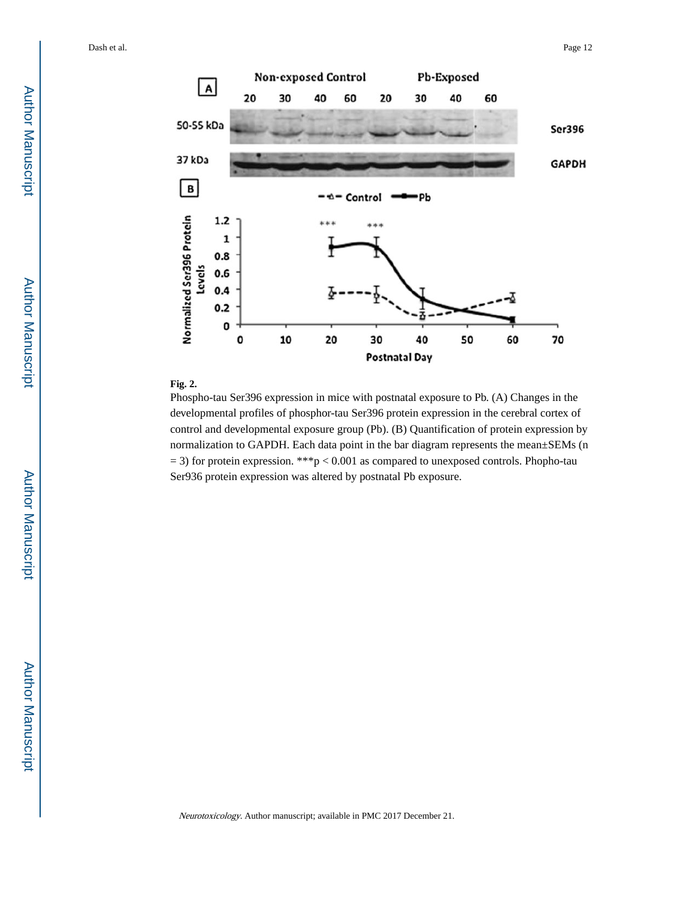

#### **Fig. 2.**

Phospho-tau Ser396 expression in mice with postnatal exposure to Pb. (A) Changes in the developmental profiles of phosphor-tau Ser396 protein expression in the cerebral cortex of control and developmental exposure group (Pb). (B) Quantification of protein expression by normalization to GAPDH. Each data point in the bar diagram represents the mean±SEMs (n  $=$  3) for protein expression. \*\*\*p < 0.001 as compared to unexposed controls. Phopho-tau Ser936 protein expression was altered by postnatal Pb exposure.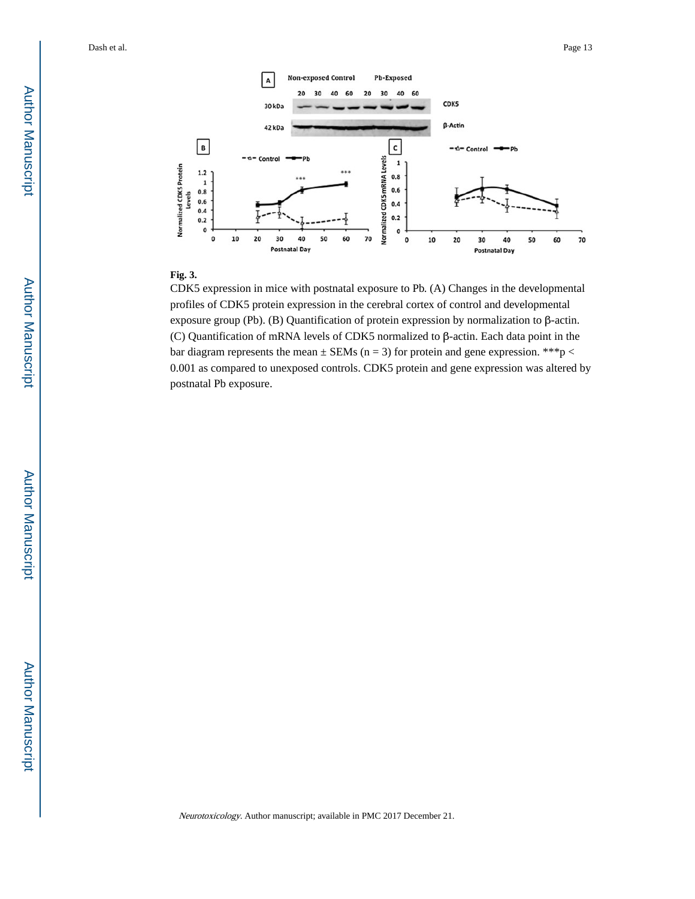

# **Fig. 3.**

CDK5 expression in mice with postnatal exposure to Pb. (A) Changes in the developmental profiles of CDK5 protein expression in the cerebral cortex of control and developmental exposure group (Pb). (B) Quantification of protein expression by normalization to β-actin. (C) Quantification of mRNA levels of CDK5 normalized to β-actin. Each data point in the bar diagram represents the mean  $\pm$  SEMs (n = 3) for protein and gene expression. \*\*\* p < 0.001 as compared to unexposed controls. CDK5 protein and gene expression was altered by postnatal Pb exposure.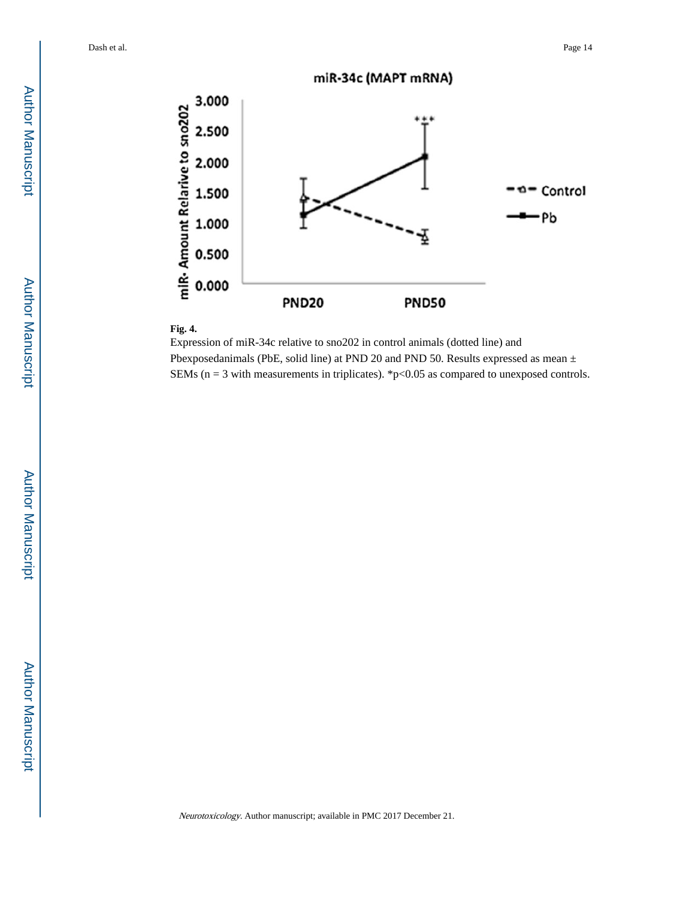

# **Fig. 4.**

Expression of miR-34c relative to sno202 in control animals (dotted line) and Pbexposedanimals (PbE, solid line) at PND 20 and PND 50. Results expressed as mean ± SEMs ( $n = 3$  with measurements in triplicates). \*p<0.05 as compared to unexposed controls.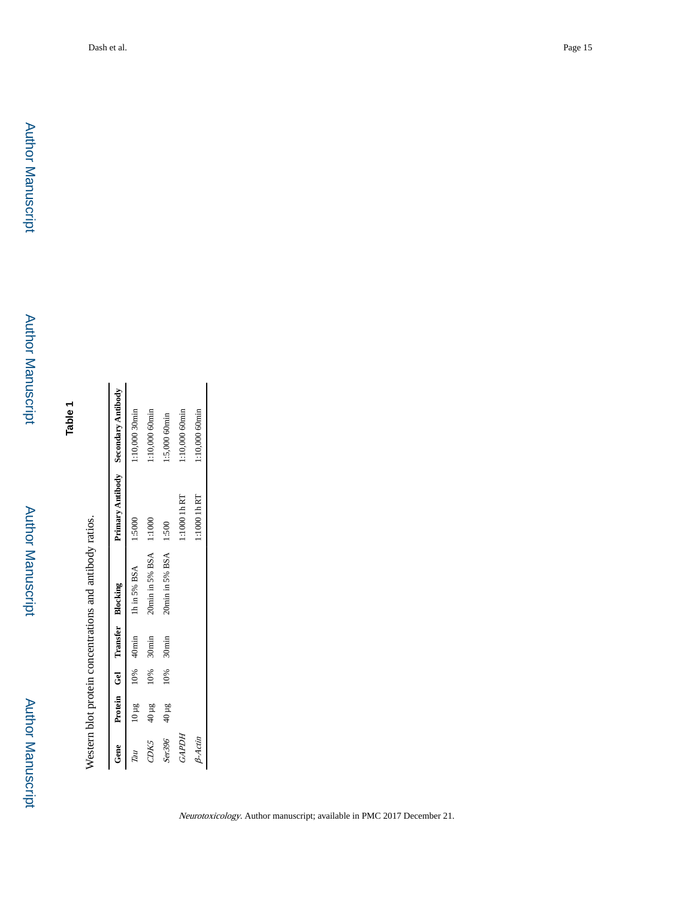**Table 1**

Western blot protein concentrations and antibody ratios. Western blot protein concentrations and antibody ratios.

| Gene           |            |       | Protein Gel Transfer Blocking |                        |              | Primary Antibody Secondary Antibody |
|----------------|------------|-------|-------------------------------|------------------------|--------------|-------------------------------------|
| lau            | $10 \mu$ g | $0\%$ | 40 <sub>min</sub>             | 1h in 5% BSA           | 1:5000       | 1:10,000 30min                      |
| CNC.           | $40 \mu$ g | 10%   | $30$ min                      | 20min in 5% BSA 1:1000 |              | $1:10,000$ 60 $min$                 |
| Ser396         | $40 \mu$ g | 10%   | 30 <sub>min</sub>             | 20min in 5% BSA 1:500  |              | 1:5,000 60min                       |
| GAPDH          |            |       |                               |                        | 1:1000 1h RT | 1:10,000 60min                      |
| <b>B-Actin</b> |            |       |                               |                        | 1:1000 1h RT | 1:10,000 60min                      |